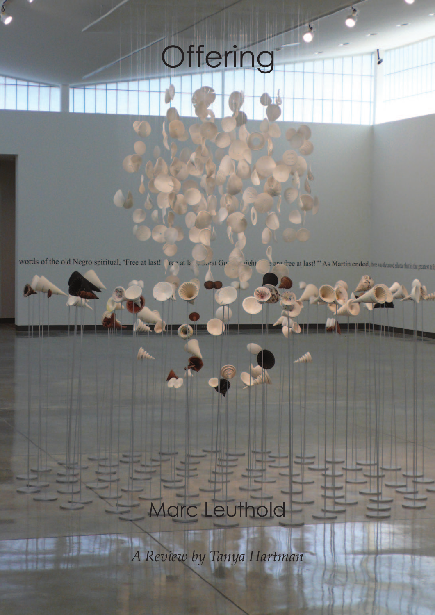## **Offering**

words of the old Negro spiritual, 'Free at last! Free at last! Contact Go e are free at last!"" As Martin ended, the wat the and show that is the greatest trib **right** 

## Marc Leuthold

*A Review by Tanya Hartman*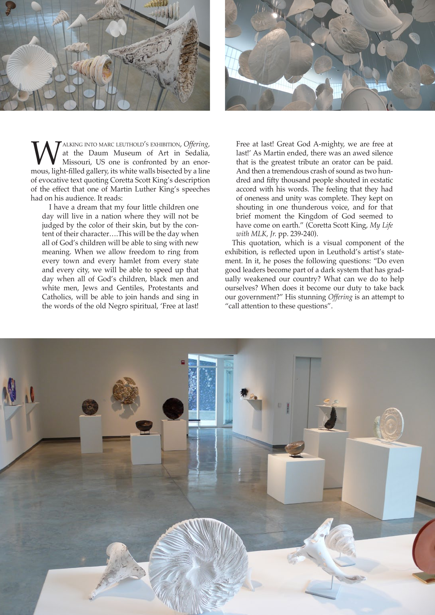



**WALKING INTO MARC LEUTHOLD'S EXHIBITION, Offering,**<br>
missouri, US one is confronted by an enor-<br>
mous, light-filled gallery, its white walls bisected by a line at the Daum Museum of Art in Sedalia, Missouri, US one is confronted by an enorof evocative text quoting Coretta Scott King's description of the effect that one of Martin Luther King's speeches had on his audience. It reads:

I have a dream that my four little children one day will live in a nation where they will not be judged by the color of their skin, but by the content of their character….This will be the day when all of God's children will be able to sing with new meaning. When we allow freedom to ring from every town and every hamlet from every state and every city, we will be able to speed up that day when all of God's children, black men and white men, Jews and Gentiles, Protestants and Catholics, will be able to join hands and sing in the words of the old Negro spiritual, 'Free at last!

Free at last! Great God A-mighty, we are free at last!' As Martin ended, there was an awed silence that is the greatest tribute an orator can be paid. And then a tremendous crash of sound as two hundred and fifty thousand people shouted in ecstatic accord with his words. The feeling that they had of oneness and unity was complete. They kept on shouting in one thunderous voice, and for that brief moment the Kingdom of God seemed to have come on earth." (Coretta Scott King, *My Life with MLK, Jr.* pp. 239-240).

This quotation, which is a visual component of the exhibition, is reflected upon in Leuthold's artist's statement. In it, he poses the following questions: "Do even good leaders become part of a dark system that has gradually weakened our country? What can we do to help ourselves? When does it become our duty to take back our government?" His stunning *Offering* is an attempt to "call attention to these questions".

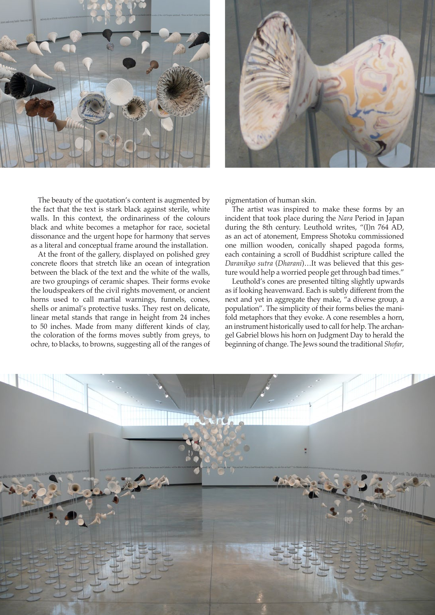



The beauty of the quotation's content is augmented by the fact that the text is stark black against sterile, white walls. In this context, the ordinariness of the colours black and white becomes a metaphor for race, societal dissonance and the urgent hope for harmony that serves as a literal and conceptual frame around the installation.

At the front of the gallery, displayed on polished grey concrete floors that stretch like an ocean of integration between the black of the text and the white of the walls, are two groupings of ceramic shapes. Their forms evoke the loudspeakers of the civil rights movement, or ancient horns used to call martial warnings, funnels, cones, shells or animal's protective tusks. They rest on delicate, linear metal stands that range in height from 24 inches to 50 inches. Made from many different kinds of clay, the coloration of the forms moves subtly from greys, to ochre, to blacks, to browns, suggesting all of the ranges of pigmentation of human skin.

The artist was inspired to make these forms by an incident that took place during the *Nara* Period in Japan during the 8th century. Leuthold writes, "(I)n 764 AD, as an act of atonement, Empress Shotoku commissioned one million wooden, conically shaped pagoda forms, each containing a scroll of Buddhist scripture called the *Daranikyo sutra* (*Dharani*)…It was believed that this gesture would help a worried people get through bad times."

Leuthold's cones are presented tilting slightly upwards as if looking heavenward. Each is subtly different from the next and yet in aggregate they make, "a diverse group, a population". The simplicity of their forms belies the manifold metaphors that they evoke. A cone resembles a horn, an instrument historically used to call for help. The archangel Gabriel blows his horn on Judgment Day to herald the beginning of change. The Jews sound the traditional *Shofar*,